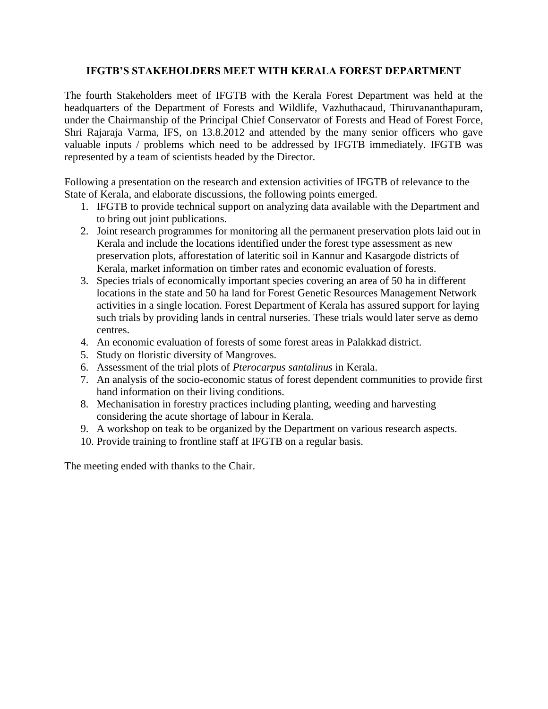## **IFGTB'S STAKEHOLDERS MEET WITH KERALA FOREST DEPARTMENT**

The fourth Stakeholders meet of IFGTB with the Kerala Forest Department was held at the headquarters of the Department of Forests and Wildlife, Vazhuthacaud, Thiruvananthapuram, under the Chairmanship of the Principal Chief Conservator of Forests and Head of Forest Force, Shri Rajaraja Varma, IFS, on 13.8.2012 and attended by the many senior officers who gave valuable inputs / problems which need to be addressed by IFGTB immediately. IFGTB was represented by a team of scientists headed by the Director.

Following a presentation on the research and extension activities of IFGTB of relevance to the State of Kerala, and elaborate discussions, the following points emerged.

- 1. IFGTB to provide technical support on analyzing data available with the Department and to bring out joint publications.
- 2. Joint research programmes for monitoring all the permanent preservation plots laid out in Kerala and include the locations identified under the forest type assessment as new preservation plots, afforestation of lateritic soil in Kannur and Kasargode districts of Kerala, market information on timber rates and economic evaluation of forests.
- 3. Species trials of economically important species covering an area of 50 ha in different locations in the state and 50 ha land for Forest Genetic Resources Management Network activities in a single location. Forest Department of Kerala has assured support for laying such trials by providing lands in central nurseries. These trials would later serve as demo centres.
- 4. An economic evaluation of forests of some forest areas in Palakkad district.
- 5. Study on floristic diversity of Mangroves.
- 6. Assessment of the trial plots of *Pterocarpus santalinus* in Kerala.
- 7. An analysis of the socio-economic status of forest dependent communities to provide first hand information on their living conditions.
- 8. Mechanisation in forestry practices including planting, weeding and harvesting considering the acute shortage of labour in Kerala.
- 9. A workshop on teak to be organized by the Department on various research aspects.
- 10. Provide training to frontline staff at IFGTB on a regular basis.

The meeting ended with thanks to the Chair.